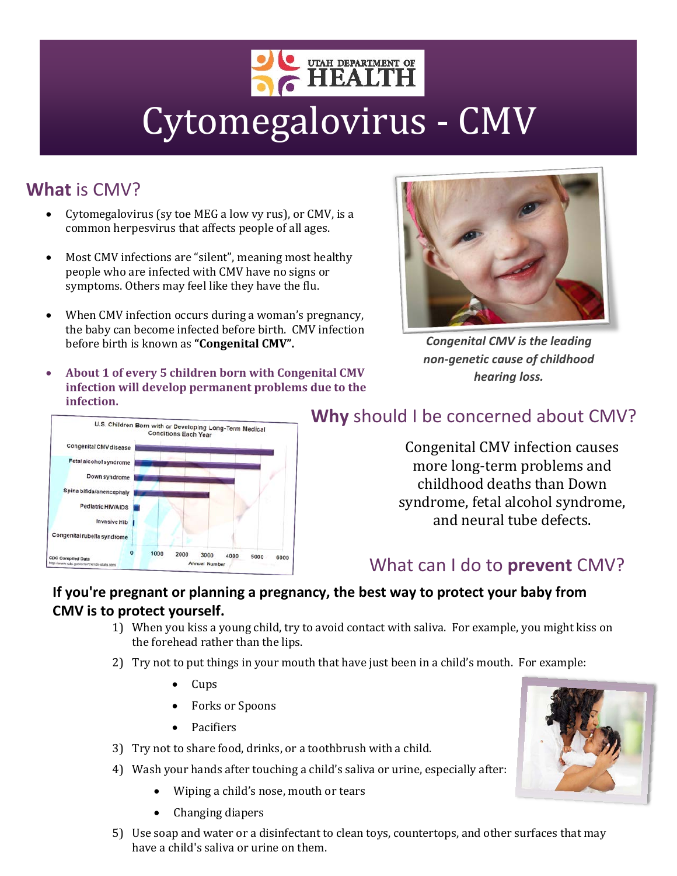

# Cytomegalovirus - CMV

## **What** is CMV?

- Cytomegalovirus (sy toe MEG a low vy rus), or CMV, is a common herpesvirus that affects people of all ages.
- Most CMV infections are "silent", meaning most healthy people who are infected with CMV have no signs or symptoms. Others may feel like they have the flu.
- When CMV infection occurs during a woman's pregnancy, the baby can become infected before birth. CMV infection before birth is known as **"Congenital CMV".**
- **About 1 of every 5 children born with Congenital CMV infection will develop permanent problems due to the infection.**



*Congenital CMV is the leading non-genetic cause of childhood hearing loss.*



## **Why** should I be concerned about CMV?

Congenital CMV infection causes more long-term problems and childhood deaths than Down syndrome, fetal alcohol syndrome, and neural tube defects.

## What can I do to **prevent** CMV?

### **If you're pregnant or planning a pregnancy, the best way to protect your baby from CMV is to protect yourself.**

- 1) When you kiss a young child, try to avoid contact with saliva. For example, you might kiss on the forehead rather than the lips.
- 2) Try not to put things in your mouth that have just been in a child's mouth. For example:
	- Cups
	- Forks or Spoons
	- Pacifiers
- 3) Try not to share food, drinks, or a toothbrush with a child.
- 4) Wash your hands after touching a child's saliva or urine, especially after:
	- Wiping a child's nose, mouth or tears
	- Changing diapers
- 5) Use soap and water or a disinfectant to clean toys, countertops, and other surfaces that may have a child's saliva or urine on them.